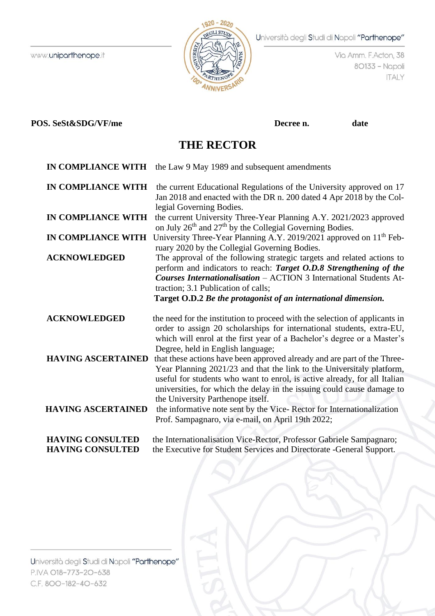

Via Amm. F. Acton, 38 80133 - Napoli **ITALY** 

#### **POS. SeSt&SDG/VF/me date Decree n.** date

**THE RECTOR IN COMPLIANCE WITH** the Law 9 May 1989 and subsequent amendments **IN COMPLIANCE WITH** the current Educational Regulations of the University approved on 17 Jan 2018 and enacted with the DR n. 200 dated 4 Apr 2018 by the Collegial Governing Bodies. **IN COMPLIANCE WITH** the current University Three-Year Planning A.Y. 2021/2023 approved on July  $26<sup>th</sup>$  and  $27<sup>th</sup>$  by the Collegial Governing Bodies. **IN COMPLIANCE WITH** University Three-Year Planning A.Y. 2019/2021 approved on 11<sup>th</sup> February 2020 by the Collegial Governing Bodies. **ACKNOWLEDGED** The approval of the following strategic targets and related actions to perform and indicators to reach: *Target O.D.8 Strengthening of the Courses Internationalisation* – ACTION 3 International Students Attraction; 3.1 Publication of calls;  **Target O.D.2** *Be the protagonist of an international dimension.* **ACKNOWLEDGED** the need for the institution to proceed with the selection of applicants in order to assign 20 scholarships for international students, extra-EU, which will enrol at the first year of a Bachelor's degree or a Master's Degree, held in English language; **HAVING ASCERTAINED** that these actions have been approved already and are part of the Three-Year Planning 2021/23 and that the link to the Universitaly platform, useful for students who want to enrol, is active already, for all Italian universities, for which the delay in the issuing could cause damage to the University Parthenope itself. **HAVING ASCERTAINED** the informative note sent by the Vice- Rector for Internationalization Prof. Sampagnaro, via e-mail, on April 19th 2022; **HAVING CONSULTED** the Internationalisation Vice-Rector, Professor Gabriele Sampagnaro; **HAVING CONSULTED** the Executive for Student Services and Directorate -General Support.

Università degli Studi di Napoli "Parthenope" P.IVA 018-773-20-638 C.F. 800-182-40-632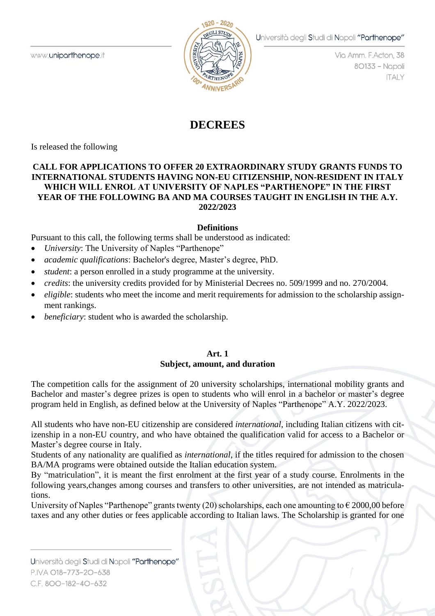www.uniparthenope.it



Università degli Studi di Napoli "Parthenope"

Via Amm. F. Acton, 38 80133 - Napoli **ITALY** 

# **DECREES**

Is released the following

## **CALL FOR APPLICATIONS TO OFFER 20 EXTRAORDINARY STUDY GRANTS FUNDS TO INTERNATIONAL STUDENTS HAVING NON-EU CITIZENSHIP, NON-RESIDENT IN ITALY WHICH WILL ENROL AT UNIVERSITY OF NAPLES "PARTHENOPE" IN THE FIRST YEAR OF THE FOLLOWING BA AND MA COURSES TAUGHT IN ENGLISH IN THE A.Y. 2022/2023**

## **Definitions**

Pursuant to this call, the following terms shall be understood as indicated:

- *University*: The University of Naples "Parthenope"
- *academic qualifications*: Bachelor's degree, Master's degree, PhD.
- *student*: a person enrolled in a study programme at the university.
- *credits*: the university credits provided for by Ministerial Decrees no. 509/1999 and no. 270/2004.
- *eligible*: students who meet the income and merit requirements for admission to the scholarship assignment rankings.
- *beneficiary*: student who is awarded the scholarship.

## **Art. 1 Subject, amount, and duration**

The competition calls for the assignment of 20 university scholarships, international mobility grants and Bachelor and master's degree prizes is open to students who will enrol in a bachelor or master's degree program held in English, as defined below at the University of Naples "Parthenope" A.Y. 2022/2023.

All students who have non-EU citizenship are considered *international*, including Italian citizens with citizenship in a non-EU country, and who have obtained the qualification valid for access to a Bachelor or Master's degree course in Italy.

Students of any nationality are qualified as *international*, if the titles required for admission to the chosen BA/MA programs were obtained outside the Italian education system.

By "matriculation", it is meant the first enrolment at the first year of a study course. Enrolments in the following years,changes among courses and transfers to other universities, are not intended as matriculations.

University of Naples "Parthenope" grants twenty (20) scholarships, each one amounting to  $\epsilon$  2000,00 before taxes and any other duties or fees applicable according to Italian laws. The Scholarship is granted for one

Università degli Studi di Napoli "Parthenope" P.IVA 018-773-20-638 C.F. 800-182-40-632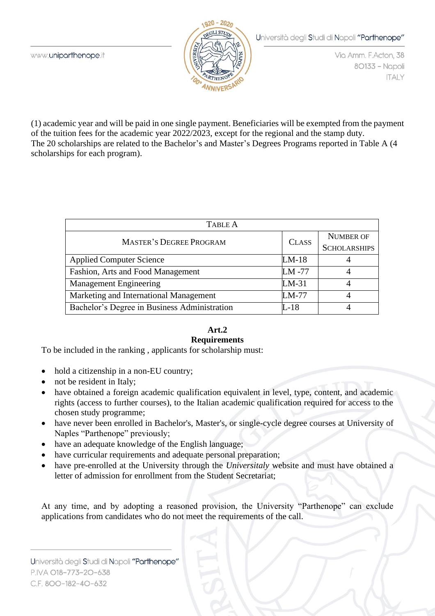

Via Amm. F. Acton, 38 80133 - Napoli **ITALY** 

(1) academic year and will be paid in one single payment. Beneficiaries will be exempted from the payment of the tuition fees for the academic year 2022/2023, except for the regional and the stamp duty. The 20 scholarships are related to the Bachelor's and Master's Degrees Programs reported in Table A (4 scholarships for each program).

| TABLE A                                      |              |                     |  |  |
|----------------------------------------------|--------------|---------------------|--|--|
| <b>MASTER'S DEGREE PROGRAM</b>               | <b>CLASS</b> | <b>NUMBER OF</b>    |  |  |
|                                              |              | <b>SCHOLARSHIPS</b> |  |  |
| <b>Applied Computer Science</b>              | $LM-18$      |                     |  |  |
| Fashion, Arts and Food Management            | LM-77        |                     |  |  |
| <b>Management Engineering</b>                | $LM-31$      |                     |  |  |
| Marketing and International Management       | LM-77        |                     |  |  |
| Bachelor's Degree in Business Administration | L-18         |                     |  |  |

#### **Art.2 Requirements**

# To be included in the ranking , applicants for scholarship must:

- hold a citizenship in a non-EU country;
- not be resident in Italy;
- have obtained a foreign academic qualification equivalent in level, type, content, and academic rights (access to further courses), to the Italian academic qualification required for access to the chosen study programme;
- have never been enrolled in Bachelor's, Master's, or single-cycle degree courses at University of Naples "Parthenope" previously;
- have an adequate knowledge of the English language;
- have curricular requirements and adequate personal preparation;
- have pre-enrolled at the University through the *Universitaly* website and must have obtained a letter of admission for enrollment from the Student Secretariat;

At any time, and by adopting a reasoned provision, the University "Parthenope" can exclude applications from candidates who do not meet the requirements of the call.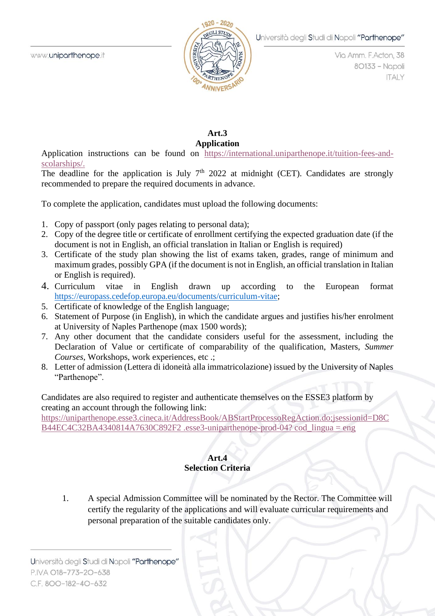

Via Amm. F. Acton, 38 80133 - Napoli **ITALY** 

## **Art.3 Application**

Application instructions can be found on [https://international.uniparthenope.it/tuition-fees-and](https://international.uniparthenope.it/tuition-fees-and-%20scolarships/)[scolarships/.](https://international.uniparthenope.it/tuition-fees-and-%20scolarships/)

The deadline for the application is July  $7<sup>th</sup>$  2022 at midnight (CET). Candidates are strongly recommended to prepare the required documents in advance.

To complete the application, candidates must upload the following documents:

- 1. Copy of passport (only pages relating to personal data);
- 2. Copy of the degree title or certificate of enrollment certifying the expected graduation date (if the document is not in English, an official translation in Italian or English is required)
- 3. Certificate of the study plan showing the list of exams taken, grades, range of minimum and maximum grades, possibly GPA (if the document is not in English, an official translation in Italian or English is required).
- 4. Curriculum vitae in English drawn up according to the European format [https://europass.cedefop.europa.eu/documents/curriculum-vitae;](https://europa.eu/europass/en/create-europass-cv)
- 5. Certificate of knowledge of the English language;
- 6. Statement of Purpose (in English), in which the candidate argues and justifies his/her enrolment at University of Naples Parthenope (max 1500 words);
- 7. Any other document that the candidate considers useful for the assessment, including the Declaration of Value or certificate of comparability of the qualification, Masters, *Summer Courses*, Workshops, work experiences, etc .;
- 8. Letter of admission (Lettera di idoneità alla immatricolazione) issued by the University of Naples "Parthenope".

Candidates are also required to register and authenticate themselves on the ESSE3 platform by creating an account through the following link:

[https://uniparthenope.esse3.cineca.it/AddressBook/ABStartProcessoRegAction.do;jsessionid=D8C](https://uniparthenope.esse3.cineca.it/AddressBook/ABStartProcessoRegAction.do;jsessionid=D8C%20B44EC4C32BA4340814A7630C892F2%20.esse3-uniparthenope-prod-04?%20cod_lingua%20=%20eng)  [B44EC4C32BA4340814A7630C892F2 .esse3-uniparthenope-prod-04? cod\\_lingua = eng](https://uniparthenope.esse3.cineca.it/AddressBook/ABStartProcessoRegAction.do;jsessionid=D8C%20B44EC4C32BA4340814A7630C892F2%20.esse3-uniparthenope-prod-04?%20cod_lingua%20=%20eng)

## **Art.4 Selection Criteria**

1. A special Admission Committee will be nominated by the Rector. The Committee will certify the regularity of the applications and will evaluate curricular requirements and personal preparation of the suitable candidates only.

Università degli Studi di Napoli "Parthenope" P.IVA 018-773-20-638 C.F. 800-182-40-632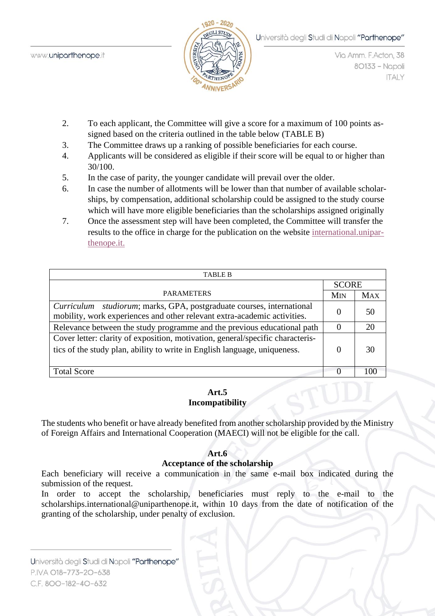

Via Amm. F. Acton, 38 80133 - Napoli **ITALY** 

- 2. To each applicant, the Committee will give a score for a maximum of 100 points assigned based on the criteria outlined in the table below (TABLE B)
- 3. The Committee draws up a ranking of possible beneficiaries for each course.
- 4. Applicants will be considered as eligible if their score will be equal to or higher than 30/100.
- 5. In the case of parity, the younger candidate will prevail over the older.
- 6. In case the number of allotments will be lower than that number of available scholarships, by compensation, additional scholarship could be assigned to the study course which will have more eligible beneficiaries than the scholarships assigned originally
- 7. Once the assessment step will have been completed, the Committee will transfer the results to the office in charge for the publication on the website [international.unipar](https://international.uniparthenope.it/)[thenope.it.](https://international.uniparthenope.it/)

| <b>TABLE B</b>                                                                                                                                              |        |              |  |
|-------------------------------------------------------------------------------------------------------------------------------------------------------------|--------|--------------|--|
| <b>PARAMETERS</b>                                                                                                                                           |        | <b>SCORE</b> |  |
|                                                                                                                                                             |        | <b>MAX</b>   |  |
| Curriculum studiorum; marks, GPA, postgraduate courses, international<br>mobility, work experiences and other relevant extra-academic activities.           |        | 50           |  |
| Relevance between the study programme and the previous educational path                                                                                     |        | 20           |  |
| Cover letter: clarity of exposition, motivation, general/specific characteris-<br>tics of the study plan, ability to write in English language, uniqueness. |        | 30           |  |
| <b>Total Score</b>                                                                                                                                          | $\cup$ |              |  |

## **Art.5 Incompatibility**

The students who benefit or have already benefited from another scholarship provided by the Ministry of Foreign Affairs and International Cooperation (MAECI) will not be eligible for the call.

# **Art.6**

# **Acceptance of the scholarship**

Each beneficiary will receive a communication in the same e-mail box indicated during the submission of the request.

In order to accept the scholarship, beneficiaries must reply to the e-mail to the scholarships.international@uniparthenope.it, within 10 days from the date of notification of the granting of the scholarship, under penalty of exclusion.

Università degli Studi di Napoli "Parthenope" P.IVA O18-773-20-638 C.F. 800-182-40-632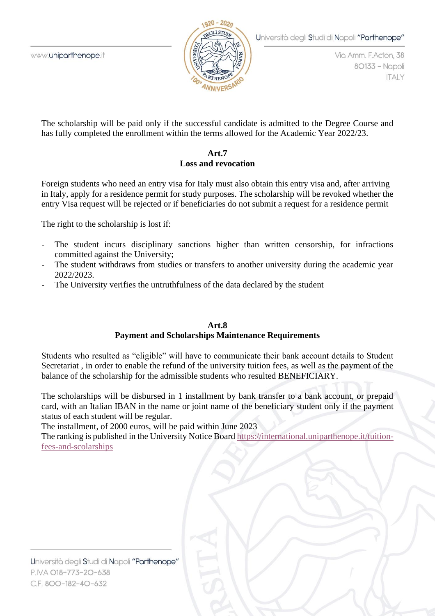

Via Amm. F. Acton, 38 80133 - Napoli **ITALY** 

The scholarship will be paid only if the successful candidate is admitted to the Degree Course and has fully completed the enrollment within the terms allowed for the Academic Year 2022/23.

#### **Art.7 Loss and revocation**

Foreign students who need an entry visa for Italy must also obtain this entry visa and, after arriving in Italy, apply for a residence permit for study purposes. The scholarship will be revoked whether the entry Visa request will be rejected or if beneficiaries do not submit a request for a residence permit

The right to the scholarship is lost if:

- The student incurs disciplinary sanctions higher than written censorship, for infractions committed against the University;
- The student withdraws from studies or transfers to another university during the academic year 2022/2023.
- The University verifies the untruthfulness of the data declared by the student

#### **Art.8 Payment and Scholarships Maintenance Requirements**

Students who resulted as "eligible" will have to communicate their bank account details to Student Secretariat , in order to enable the refund of the university tuition fees, as well as the payment of the balance of the scholarship for the admissible students who resulted BENEFICIARY.

The scholarships will be disbursed in 1 installment by bank transfer to a bank account, or prepaid card, with an Italian IBAN in the name or joint name of the beneficiary student only if the payment status of each student will be regular.

The installment, of 2000 euros, will be paid within June 2023

The ranking is published in the University Notice Board [https://international.uniparthenope.it/tuition](https://international.uniparthenope.it/tuition-fees-and-scolarships/)[fees-and-scolarships](https://international.uniparthenope.it/tuition-fees-and-scolarships/)

Università degli Studi di Napoli "Parthenope" P.IVA O18-773-20-638 C.F. 800-182-40-632